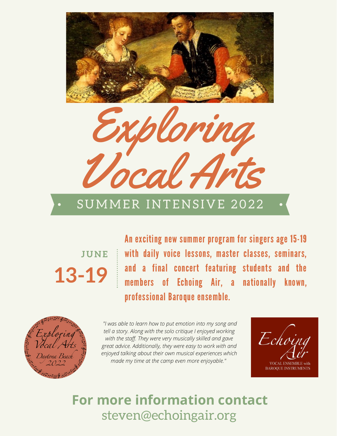



## SUMMER INTENSIVE 2022

**13-19 JUNE** An exciting new summer program for singers age 15-19 with daily voice lessons, master classes, seminars, and a final concert featuring students and the members of Echoing Air, a nationally known, professional Baroque ensemble.



*"I was able to learn how to put emotion into my song and tell a story. Along with the solo critique I enjoyed working with the staff. They were very musically skilled and gave great advice. Additionally, they were easy to work with and enjoyed talking about their own musical experiences which made my time at the camp even more enjoyable."*

Echo **VOCAL ENSEMBLE with BAROOUE INSTRUMENTS** 

# steven@echoingair.org **For more information contact**